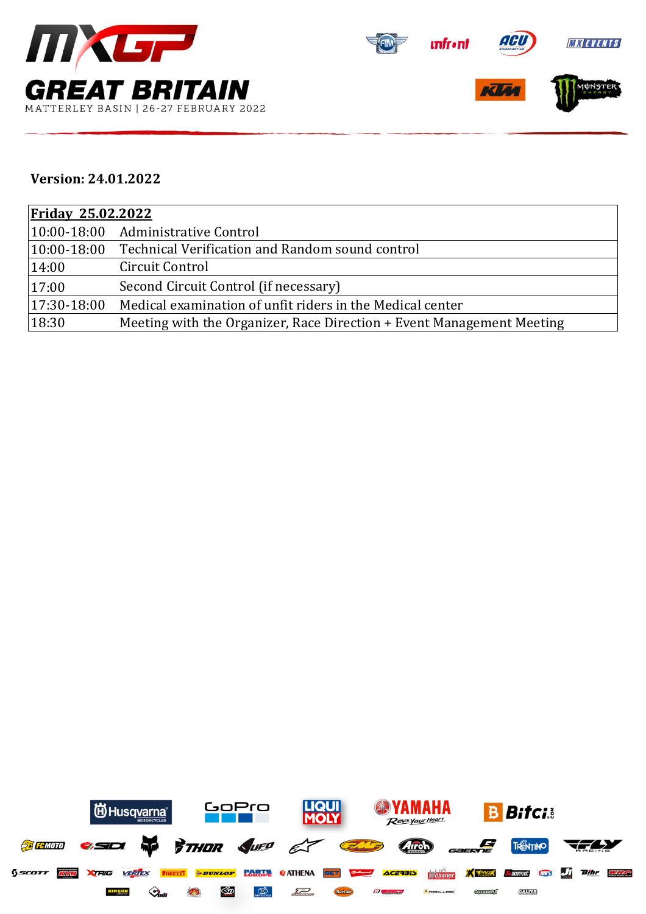



## **Version: 24.01.2022**

| <b>Friday 25.02.2022</b> |                                                                       |  |  |  |
|--------------------------|-----------------------------------------------------------------------|--|--|--|
|                          | 10:00-18:00 Administrative Control                                    |  |  |  |
| $ 10:00 - 18:00 $        | Technical Verification and Random sound control                       |  |  |  |
| 14:00                    | Circuit Control                                                       |  |  |  |
| 17:00                    | Second Circuit Control (if necessary)                                 |  |  |  |
| 17:30-18:00              | Medical examination of unfit riders in the Medical center             |  |  |  |
| 18:30                    | Meeting with the Organizer, Race Direction + Event Management Meeting |  |  |  |

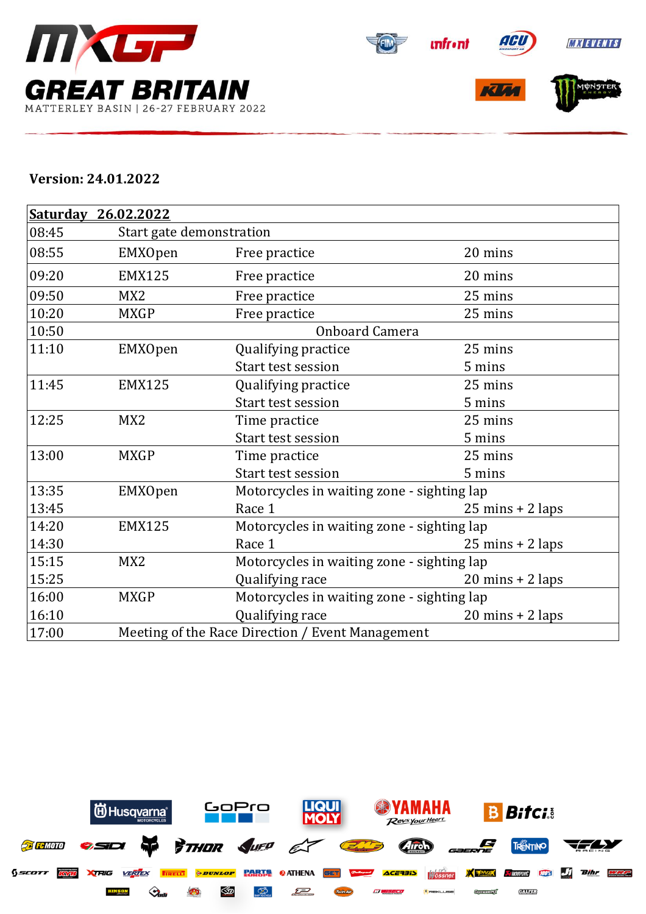



## **Version: 24.01.2022**

|       | Saturday 26.02.2022 |                                                  |                                            |  |  |  |
|-------|---------------------|--------------------------------------------------|--------------------------------------------|--|--|--|
| 08:45 |                     | Start gate demonstration                         |                                            |  |  |  |
| 08:55 | EMXOpen             | Free practice                                    | 20 mins                                    |  |  |  |
| 09:20 | <b>EMX125</b>       | Free practice                                    | 20 mins                                    |  |  |  |
| 09:50 | MX <sub>2</sub>     | Free practice                                    | 25 mins                                    |  |  |  |
| 10:20 | <b>MXGP</b>         | Free practice                                    | 25 mins                                    |  |  |  |
| 10:50 |                     | <b>Onboard Camera</b>                            |                                            |  |  |  |
| 11:10 | <b>EMXOpen</b>      | Qualifying practice                              | 25 mins                                    |  |  |  |
|       |                     | Start test session                               | 5 mins                                     |  |  |  |
| 11:45 | <b>EMX125</b>       | Qualifying practice                              | 25 mins                                    |  |  |  |
|       |                     | <b>Start test session</b>                        | 5 mins                                     |  |  |  |
| 12:25 | MX <sub>2</sub>     | Time practice                                    | 25 mins                                    |  |  |  |
|       |                     | <b>Start test session</b>                        | 5 mins                                     |  |  |  |
| 13:00 | <b>MXGP</b>         | Time practice                                    | 25 mins                                    |  |  |  |
|       |                     | <b>Start test session</b>                        | 5 mins                                     |  |  |  |
| 13:35 | <b>EMXOpen</b>      |                                                  | Motorcycles in waiting zone - sighting lap |  |  |  |
| 13:45 |                     | Race 1                                           | $25 \text{ mins} + 2 \text{ laps}$         |  |  |  |
| 14:20 | <b>EMX125</b>       |                                                  | Motorcycles in waiting zone - sighting lap |  |  |  |
| 14:30 |                     | Race 1                                           | $25 \text{ mins} + 2 \text{ laps}$         |  |  |  |
| 15:15 | MX <sub>2</sub>     |                                                  | Motorcycles in waiting zone - sighting lap |  |  |  |
| 15:25 |                     | Qualifying race                                  | $20 \text{ mins} + 2 \text{ laps}$         |  |  |  |
| 16:00 | <b>MXGP</b>         |                                                  | Motorcycles in waiting zone - sighting lap |  |  |  |
| 16:10 |                     | Qualifying race                                  | $20 \text{ mins} + 2 \text{ laps}$         |  |  |  |
| 17:00 |                     | Meeting of the Race Direction / Event Management |                                            |  |  |  |